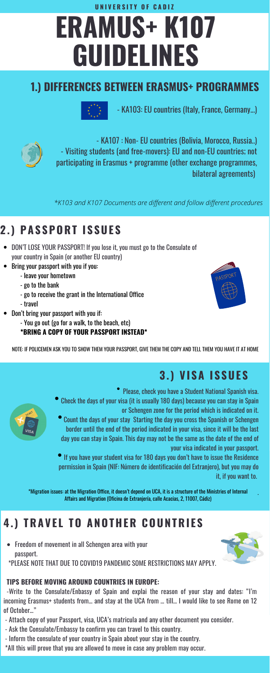# **ERAMUS+ K107 GUIDELINES**

- KA103: EU countries (Italy, France, Germany...)



- KA107 : Non- EU countries (Bolivia, Morocco, Russia..) - Visiting students (and free-movers): EU and non-EU countries; not participating in Erasmus + programme (other exchange programmes, bilateral agreements)

## **2 .) PAS SPORT I S SUE S**

- DON'T LOSE YOUR PASSPORT! If you lose it, you must go to the Consulate of your country in Spain (or another EU country)
- Bring your passport with you if you:
	- leave your hometown
	- go to the bank
	- go to receive the grant in the International Office
	- travel
- Don't bring your passport with you if:
	- You go out (go for a walk, to the beach, etc)

#### **\*BRING A COPY OF YOUR PASSPORT INSTEAD\***

Please, check you have a Student National Spanish visa. Check the days of your visa (it is usually 180 days) because you can stay in Spain





- or Schengen zone for the period which is indicated on it.
- Count the days of your stay Starting the day you cross the Spanish or Schengen border until the end of the period indicated in your visa, since it will be the last day you can stay in Spain. This day may not be the same as the date of the end of your visa indicated in your passport.
- If you have your student visa for 180 days you don't have to issue the Residence permission in Spain (NIF: Número de identificación del Extranjero), but you may do it, if you want to.

.

## **4.) TRAVE L TO ANOTHER COUNTRI E S**

Freedom of movement in all Schengen area with your passport.

\*PLEASE NOTE THAT DUE TO COVID19 PANDEMIC SOME RESTRICTIONS MAY APPLY.

#### **TIPS BEFORE MOVING AROUND COUNTRIES IN EUROPE:**

-Write to the Consulate/Enbassy of Spain and explai the reason of your stay and dates: "I'm incoming Erasmus+ students from… and stay at the UCA from … till… I would like to see Rome on 12 of October…"

- Attach copy of your Passport, visa, UCA's matricula and any other document you consider.
- Ask the Consulate/Embassy to confirm you can travel to this country.
- Inform the consulate of your country in Spain about your stay in the country.
- \*All this will prove that you are allowed to move in case any problem may occur.



#### **3 .) VI SA I S SUE S**

**U N I V E R S I T Y O F C A D I Z**

*\*K103 and K107 Documents are different and follow different procedures*

NOTE: IF POLICEMEN ASK YOU TO SHOW THEM YOUR PASSPORT, GIVE THEM THE COPY AND TELL THEM YOU HAVE IT AT HOME

\*Migration issues: at the Migration Office, it doesn't depend on UCA, it is a structure of the Ministries of Internal Affairs and Migration (Oficina de Extranjería, calle Acacias, 2, 11007, Cádiz)

### **1.) DIFFERENCES BETWEEN ERASMUS+ PROGRAMMES**

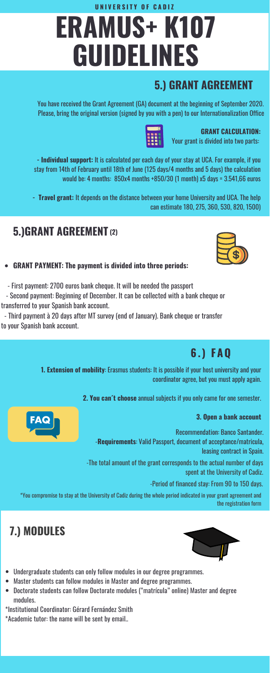#### **GRANT PAYMENT: The payment is divided into three periods:**

- First payment: 2700 euros bank cheque. It will be needed the passport

- Second payment: Beginning of December. It can be collected with a bank cheque or transferred to your Spanish bank account.

- Third payment à 20 days after MT survey (end of January). Bank cheque or transfer to your Spanish bank account.

- Undergraduate students can only follow modules in our degree programmes.
- Master students can follow modules in Master and degree programmes.
- Doctorate students can follow Doctorate modules ("matrícula" online) Master and degree  $\bullet$ modules.
- \*Institutional Coordinator: Gérard Fernández Smith
- \*Academic tutor: the name will be sent by email..



**GRANT CALCULATION:**

Your grant is divided into two parts:



## **ERAMUS+ K107 GUIDELINES U N I V E R S I T Y O F C A D I Z**

**- Individual support:** It is calculated per each day of your stay at UCA. For example, if you stay from 14th of February until 18th of June (125 days/4 months and 5 days) the calculation would be: 4 months: 850x4 months +850/30 (1 month) x5 days = 3.541,66 euros

**- Travel grant:** It depends on the distance between your home University and UCA. The help can estimate 180, 275, 360, 530, 820, 1500)

#### **1. Extension of mobility**: Erasmus students: It is possible if your host university and your coordinator agree, but you must apply again.

**2. You can´t choose** annual subjects if you only came for one semester.



#### **3. Open a bank account**

You have received the Grant Agreement (GA) document at the beginning of September 2020. Please, bring the original version (signed by you with a pen) to our Internationalization Office

**6.) FAQ**

### **5.) GRANT AGREEMENT**

## **5.)GRANT AGREEMENT (2)**

Recommendation: Banco Santander.

-**Requirements**: Valid Passport, document of acceptance/matricula,

leasing contract in Spain.

\*You compromise to stay at the University of Cadiz during the whole period indicated in your grant agreement and the registration form

-Period of financed stay: From 90 to 150 days.

## **7.) MODULES**



-The total amount of the grant corresponds to the actual number of days

spent at the University of Cadiz.